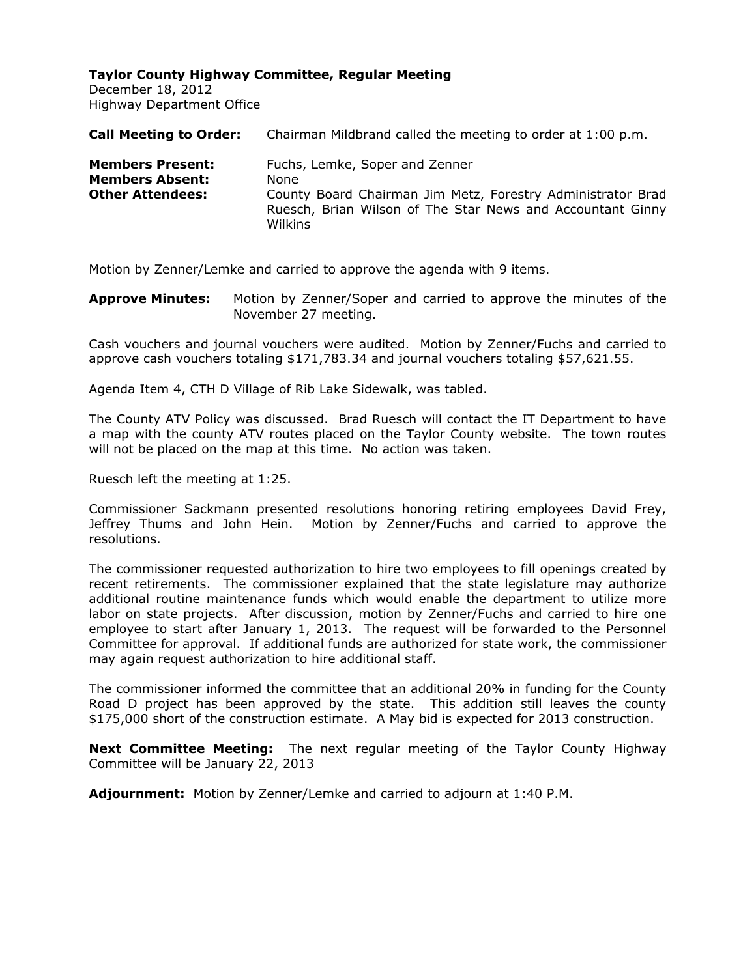December 18, 2012 Highway Department Office

| <b>Call Meeting to Order:</b>                                                | Chairman Mildbrand called the meeting to order at 1:00 p.m.                                                                                                                    |
|------------------------------------------------------------------------------|--------------------------------------------------------------------------------------------------------------------------------------------------------------------------------|
| <b>Members Present:</b><br><b>Members Absent:</b><br><b>Other Attendees:</b> | Fuchs, Lemke, Soper and Zenner<br>None<br>County Board Chairman Jim Metz, Forestry Administrator Brad<br>Ruesch, Brian Wilson of The Star News and Accountant Ginny<br>Wilkins |
|                                                                              |                                                                                                                                                                                |

Motion by Zenner/Lemke and carried to approve the agenda with 9 items.

**Approve Minutes:** Motion by Zenner/Soper and carried to approve the minutes of the November 27 meeting.

Cash vouchers and journal vouchers were audited. Motion by Zenner/Fuchs and carried to approve cash vouchers totaling \$171,783.34 and journal vouchers totaling \$57,621.55.

Agenda Item 4, CTH D Village of Rib Lake Sidewalk, was tabled.

The County ATV Policy was discussed. Brad Ruesch will contact the IT Department to have a map with the county ATV routes placed on the Taylor County website. The town routes will not be placed on the map at this time. No action was taken.

Ruesch left the meeting at 1:25.

Commissioner Sackmann presented resolutions honoring retiring employees David Frey, Jeffrey Thums and John Hein. Motion by Zenner/Fuchs and carried to approve the resolutions.

The commissioner requested authorization to hire two employees to fill openings created by recent retirements. The commissioner explained that the state legislature may authorize additional routine maintenance funds which would enable the department to utilize more labor on state projects. After discussion, motion by Zenner/Fuchs and carried to hire one employee to start after January 1, 2013. The request will be forwarded to the Personnel Committee for approval. If additional funds are authorized for state work, the commissioner may again request authorization to hire additional staff.

The commissioner informed the committee that an additional 20% in funding for the County Road D project has been approved by the state. This addition still leaves the county \$175,000 short of the construction estimate. A May bid is expected for 2013 construction.

**Next Committee Meeting:** The next regular meeting of the Taylor County Highway Committee will be January 22, 2013

**Adjournment:** Motion by Zenner/Lemke and carried to adjourn at 1:40 P.M.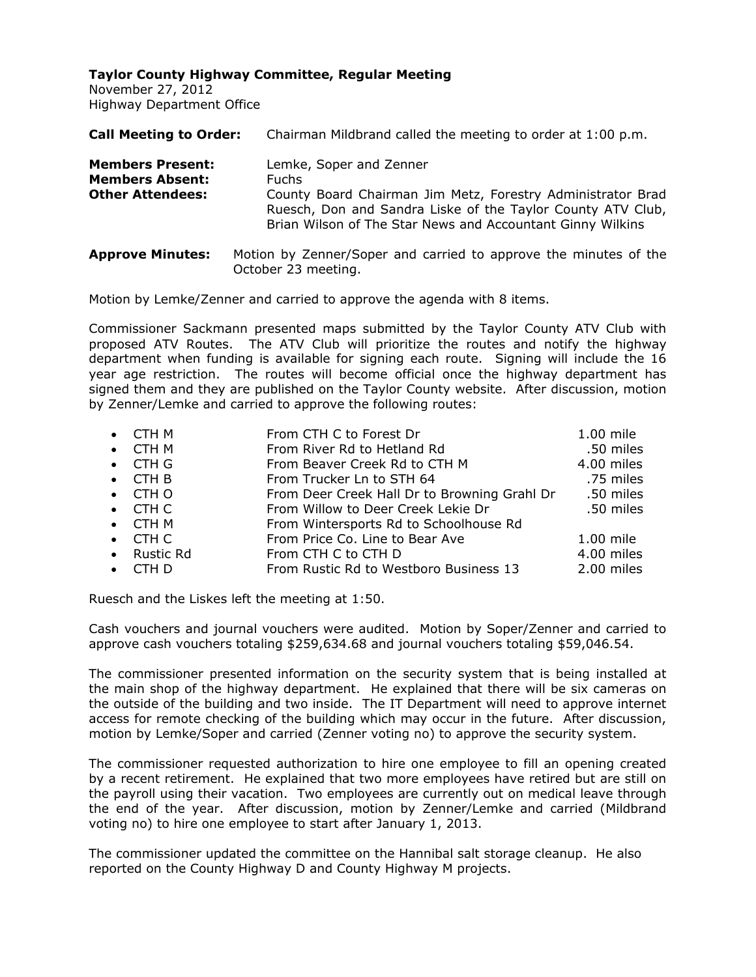November 27, 2012 Highway Department Office

| <b>Call Meeting to Order:</b>                                                | Chairman Mildbrand called the meeting to order at 1:00 p.m.                                                                                                                                                                         |
|------------------------------------------------------------------------------|-------------------------------------------------------------------------------------------------------------------------------------------------------------------------------------------------------------------------------------|
| <b>Members Present:</b><br><b>Members Absent:</b><br><b>Other Attendees:</b> | Lemke, Soper and Zenner<br><b>Fuchs</b><br>County Board Chairman Jim Metz, Forestry Administrator Brad<br>Ruesch, Don and Sandra Liske of the Taylor County ATV Club,<br>Brian Wilson of The Star News and Accountant Ginny Wilkins |
| <b>Approve Minutes:</b>                                                      | Motion by Zenner/Soper and carried to approve the minutes of the<br>October 23 meeting.                                                                                                                                             |

Motion by Lemke/Zenner and carried to approve the agenda with 8 items.

Commissioner Sackmann presented maps submitted by the Taylor County ATV Club with proposed ATV Routes. The ATV Club will prioritize the routes and notify the highway department when funding is available for signing each route. Signing will include the 16 year age restriction. The routes will become official once the highway department has signed them and they are published on the Taylor County website. After discussion, motion by Zenner/Lemke and carried to approve the following routes:

| $\bullet$ CTH M | From CTH C to Forest Dr                      | 1.00 mile  |
|-----------------|----------------------------------------------|------------|
| $\bullet$ CTH M | From River Rd to Hetland Rd                  | .50 miles  |
| $\bullet$ CTH G | From Beaver Creek Rd to CTH M                | 4.00 miles |
| $\bullet$ CTH B | From Trucker Ln to STH 64                    | .75 miles  |
| $\bullet$ CTH O | From Deer Creek Hall Dr to Browning Grahl Dr | .50 miles  |
| $\bullet$ CTH C | From Willow to Deer Creek Lekie Dr           | .50 miles  |
| $\bullet$ CTH M | From Wintersports Rd to Schoolhouse Rd       |            |
| $\bullet$ CTH C | From Price Co. Line to Bear Ave              | 1.00 mile  |
| • Rustic Rd     | From CTH C to CTH D                          | 4.00 miles |
| $\bullet$ CTH D | From Rustic Rd to Westboro Business 13       | 2.00 miles |
|                 |                                              |            |

Ruesch and the Liskes left the meeting at 1:50.

Cash vouchers and journal vouchers were audited. Motion by Soper/Zenner and carried to approve cash vouchers totaling \$259,634.68 and journal vouchers totaling \$59,046.54.

The commissioner presented information on the security system that is being installed at the main shop of the highway department. He explained that there will be six cameras on the outside of the building and two inside. The IT Department will need to approve internet access for remote checking of the building which may occur in the future. After discussion, motion by Lemke/Soper and carried (Zenner voting no) to approve the security system.

The commissioner requested authorization to hire one employee to fill an opening created by a recent retirement. He explained that two more employees have retired but are still on the payroll using their vacation. Two employees are currently out on medical leave through the end of the year. After discussion, motion by Zenner/Lemke and carried (Mildbrand voting no) to hire one employee to start after January 1, 2013.

The commissioner updated the committee on the Hannibal salt storage cleanup. He also reported on the County Highway D and County Highway M projects.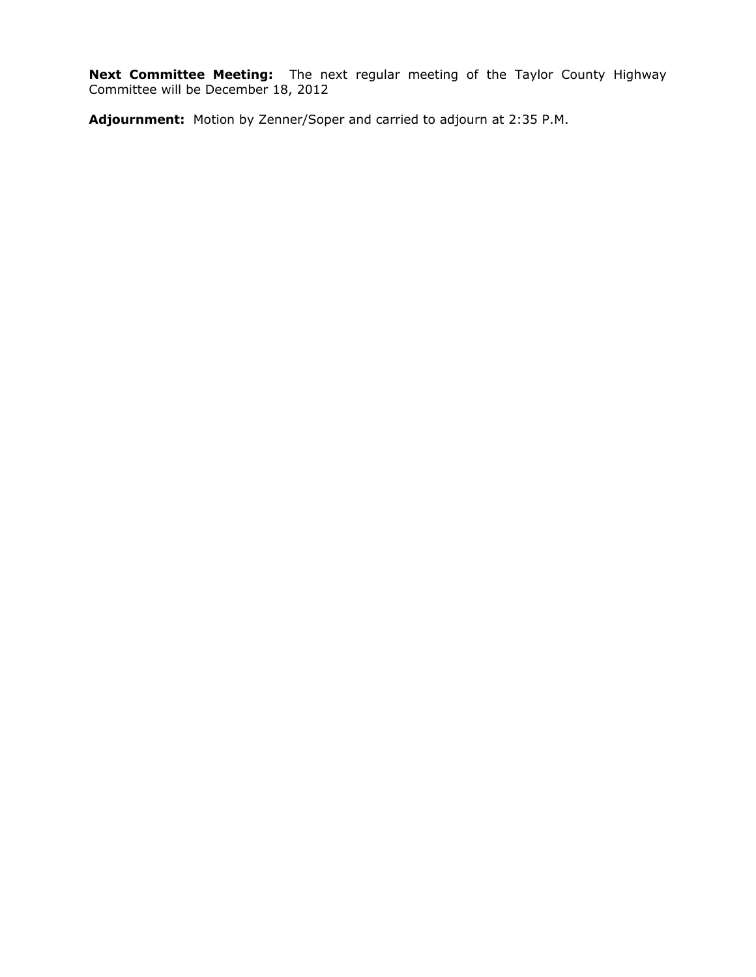**Next Committee Meeting:** The next regular meeting of the Taylor County Highway Committee will be December 18, 2012

**Adjournment:** Motion by Zenner/Soper and carried to adjourn at 2:35 P.M.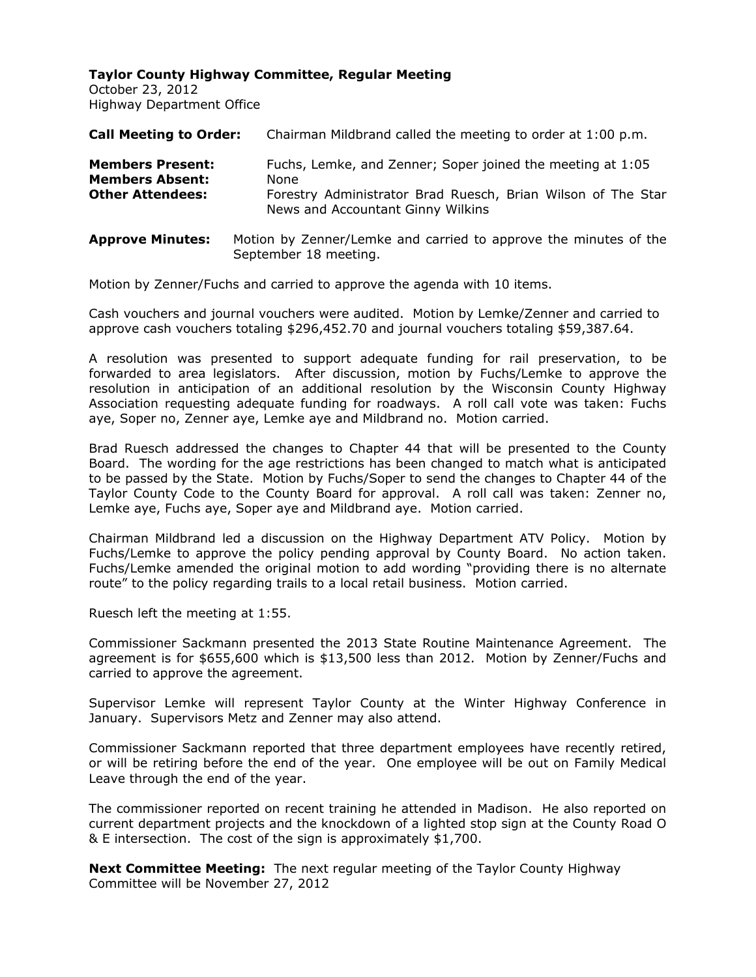October 23, 2012 Highway Department Office

| <b>Call Meeting to Order:</b>                                                | Chairman Mildbrand called the meeting to order at 1:00 p.m.                                                                                                             |
|------------------------------------------------------------------------------|-------------------------------------------------------------------------------------------------------------------------------------------------------------------------|
| <b>Members Present:</b><br><b>Members Absent:</b><br><b>Other Attendees:</b> | Fuchs, Lemke, and Zenner; Soper joined the meeting at 1:05<br>None<br>Forestry Administrator Brad Ruesch, Brian Wilson of The Star<br>News and Accountant Ginny Wilkins |
| <b>Approve Minutes:</b>                                                      | Motion by Zenner/Lemke and carried to approve the minutes of the<br>September 18 meeting.                                                                               |

Motion by Zenner/Fuchs and carried to approve the agenda with 10 items.

Cash vouchers and journal vouchers were audited. Motion by Lemke/Zenner and carried to approve cash vouchers totaling \$296,452.70 and journal vouchers totaling \$59,387.64.

A resolution was presented to support adequate funding for rail preservation, to be forwarded to area legislators. After discussion, motion by Fuchs/Lemke to approve the resolution in anticipation of an additional resolution by the Wisconsin County Highway Association requesting adequate funding for roadways. A roll call vote was taken: Fuchs aye, Soper no, Zenner aye, Lemke aye and Mildbrand no. Motion carried.

Brad Ruesch addressed the changes to Chapter 44 that will be presented to the County Board. The wording for the age restrictions has been changed to match what is anticipated to be passed by the State. Motion by Fuchs/Soper to send the changes to Chapter 44 of the Taylor County Code to the County Board for approval. A roll call was taken: Zenner no, Lemke aye, Fuchs aye, Soper aye and Mildbrand aye. Motion carried.

Chairman Mildbrand led a discussion on the Highway Department ATV Policy. Motion by Fuchs/Lemke to approve the policy pending approval by County Board. No action taken. Fuchs/Lemke amended the original motion to add wording "providing there is no alternate route" to the policy regarding trails to a local retail business. Motion carried.

Ruesch left the meeting at 1:55.

Commissioner Sackmann presented the 2013 State Routine Maintenance Agreement. The agreement is for \$655,600 which is \$13,500 less than 2012. Motion by Zenner/Fuchs and carried to approve the agreement.

Supervisor Lemke will represent Taylor County at the Winter Highway Conference in January. Supervisors Metz and Zenner may also attend.

Commissioner Sackmann reported that three department employees have recently retired, or will be retiring before the end of the year. One employee will be out on Family Medical Leave through the end of the year.

The commissioner reported on recent training he attended in Madison. He also reported on current department projects and the knockdown of a lighted stop sign at the County Road O & E intersection. The cost of the sign is approximately \$1,700.

**Next Committee Meeting:** The next regular meeting of the Taylor County Highway Committee will be November 27, 2012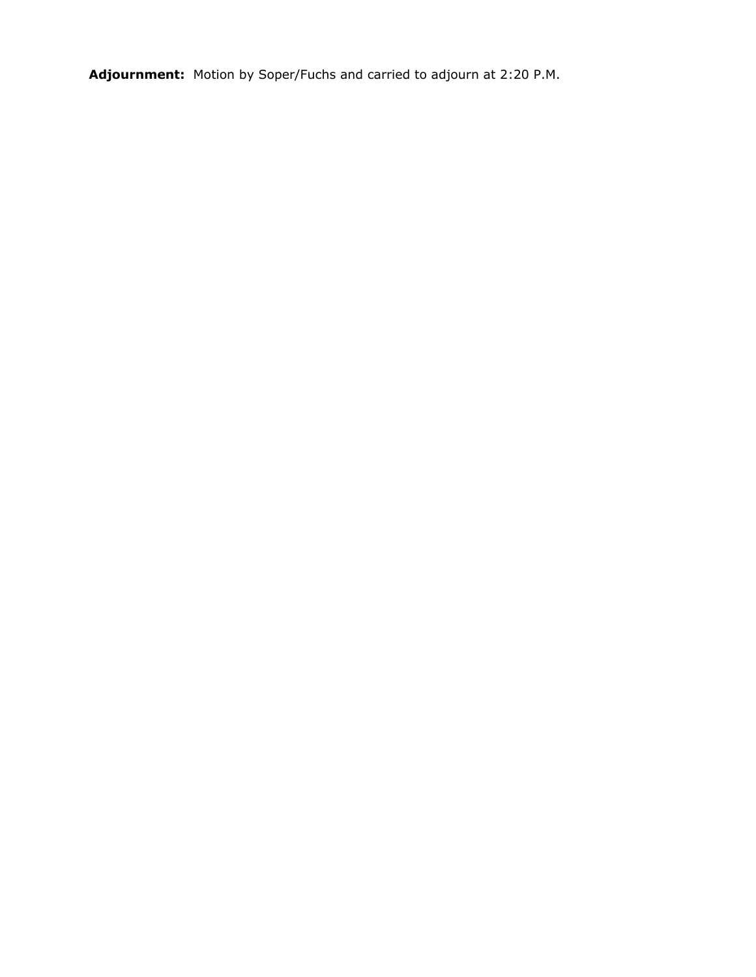**Adjournment:** Motion by Soper/Fuchs and carried to adjourn at 2:20 P.M.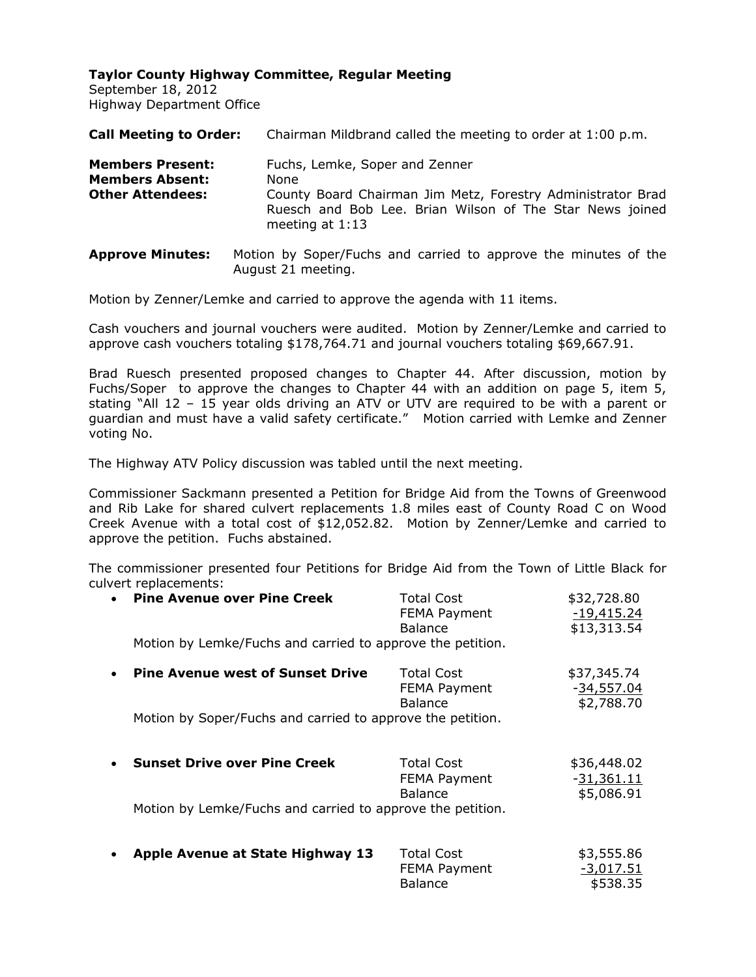September 18, 2012 Highway Department Office

| <b>Call Meeting to Order:</b>                                                | Chairman Mildbrand called the meeting to order at 1:00 p.m.                                                                                                                            |
|------------------------------------------------------------------------------|----------------------------------------------------------------------------------------------------------------------------------------------------------------------------------------|
| <b>Members Present:</b><br><b>Members Absent:</b><br><b>Other Attendees:</b> | Fuchs, Lemke, Soper and Zenner<br>None<br>County Board Chairman Jim Metz, Forestry Administrator Brad<br>Ruesch and Bob Lee. Brian Wilson of The Star News joined<br>meeting at $1:13$ |
| <b>Approve Minutes:</b>                                                      | Motion by Soper/Fuchs and carried to approve the minutes of the                                                                                                                        |

Motion by Zenner/Lemke and carried to approve the agenda with 11 items.

August 21 meeting.

Cash vouchers and journal vouchers were audited. Motion by Zenner/Lemke and carried to approve cash vouchers totaling \$178,764.71 and journal vouchers totaling \$69,667.91.

Brad Ruesch presented proposed changes to Chapter 44. After discussion, motion by Fuchs/Soper to approve the changes to Chapter 44 with an addition on page 5, item 5, stating "All 12 – 15 year olds driving an ATV or UTV are required to be with a parent or guardian and must have a valid safety certificate." Motion carried with Lemke and Zenner voting No.

The Highway ATV Policy discussion was tabled until the next meeting.

Commissioner Sackmann presented a Petition for Bridge Aid from the Towns of Greenwood and Rib Lake for shared culvert replacements 1.8 miles east of County Road C on Wood Creek Avenue with a total cost of \$12,052.82. Motion by Zenner/Lemke and carried to approve the petition. Fuchs abstained.

The commissioner presented four Petitions for Bridge Aid from the Town of Little Black for culvert replacements:

|           | • Pine Avenue over Pine Creek                              | <b>Total Cost</b><br>FEMA Payment<br><b>Balance</b> | \$32,728.80<br>$-19,415.24$<br>\$13,313.54 |
|-----------|------------------------------------------------------------|-----------------------------------------------------|--------------------------------------------|
|           | Motion by Lemke/Fuchs and carried to approve the petition. |                                                     |                                            |
| $\bullet$ | <b>Pine Avenue west of Sunset Drive</b>                    | <b>Total Cost</b><br>FEMA Payment<br>Balance        | \$37,345.74<br>$-34,557.04$<br>\$2,788.70  |
|           | Motion by Soper/Fuchs and carried to approve the petition. |                                                     |                                            |
| $\bullet$ | <b>Sunset Drive over Pine Creek</b>                        | <b>Total Cost</b><br>FEMA Payment<br><b>Balance</b> | \$36,448.02<br>$-31,361.11$<br>\$5,086.91  |
|           | Motion by Lemke/Fuchs and carried to approve the petition. |                                                     |                                            |
|           | <b>Apple Avenue at State Highway 13</b>                    | <b>Total Cost</b>                                   | \$3,555.86                                 |

FEMA Payment -3,017.51 Balance \$538.35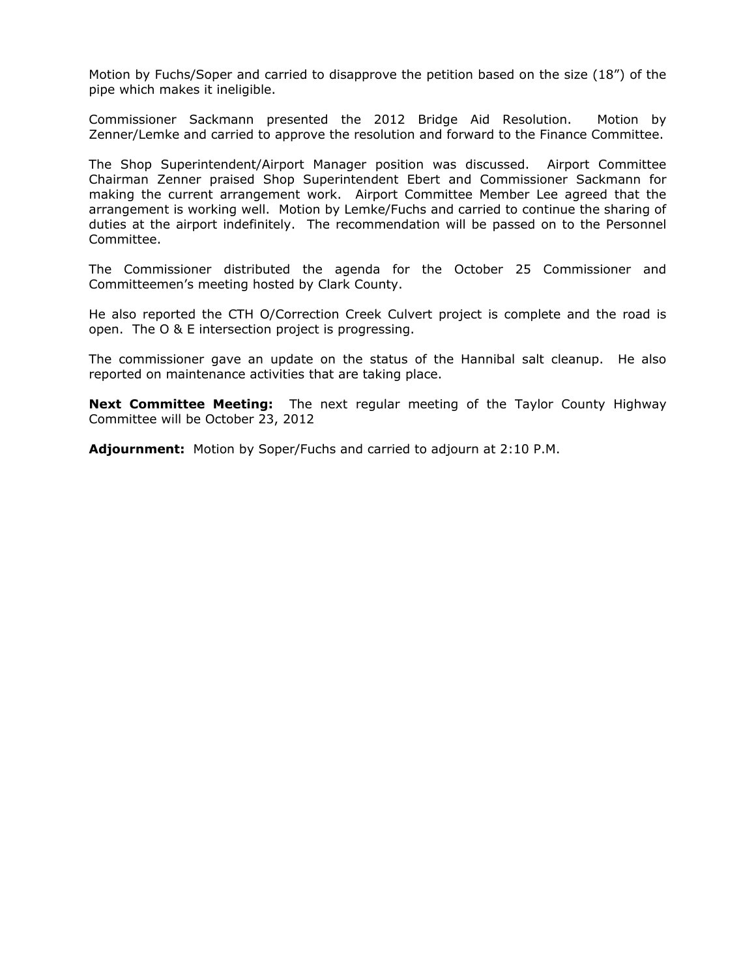Motion by Fuchs/Soper and carried to disapprove the petition based on the size (18") of the pipe which makes it ineligible.

Commissioner Sackmann presented the 2012 Bridge Aid Resolution. Motion by Zenner/Lemke and carried to approve the resolution and forward to the Finance Committee.

The Shop Superintendent/Airport Manager position was discussed. Airport Committee Chairman Zenner praised Shop Superintendent Ebert and Commissioner Sackmann for making the current arrangement work. Airport Committee Member Lee agreed that the arrangement is working well. Motion by Lemke/Fuchs and carried to continue the sharing of duties at the airport indefinitely. The recommendation will be passed on to the Personnel Committee.

The Commissioner distributed the agenda for the October 25 Commissioner and Committeemen's meeting hosted by Clark County.

He also reported the CTH O/Correction Creek Culvert project is complete and the road is open. The O & E intersection project is progressing.

The commissioner gave an update on the status of the Hannibal salt cleanup. He also reported on maintenance activities that are taking place.

**Next Committee Meeting:** The next regular meeting of the Taylor County Highway Committee will be October 23, 2012

**Adjournment:** Motion by Soper/Fuchs and carried to adjourn at 2:10 P.M.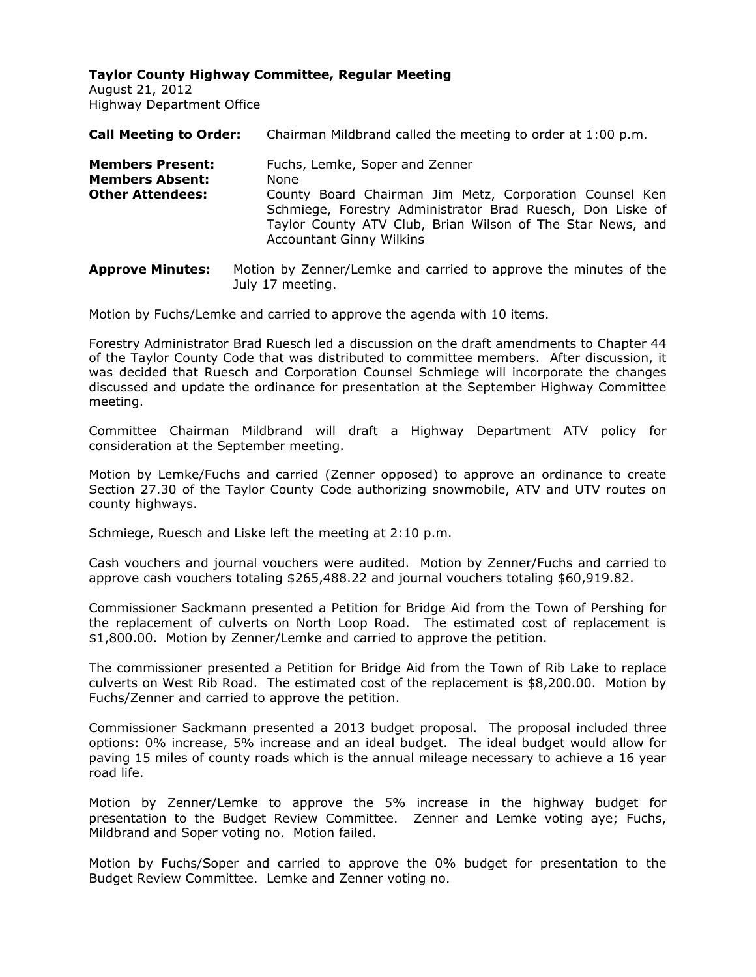August 21, 2012 Highway Department Office

| <b>Call Meeting to Order:</b>                                                | Chairman Mildbrand called the meeting to order at 1:00 p.m.                                                                                                                                                                                                      |
|------------------------------------------------------------------------------|------------------------------------------------------------------------------------------------------------------------------------------------------------------------------------------------------------------------------------------------------------------|
| <b>Members Present:</b><br><b>Members Absent:</b><br><b>Other Attendees:</b> | Fuchs, Lemke, Soper and Zenner<br>None<br>County Board Chairman Jim Metz, Corporation Counsel Ken<br>Schmiege, Forestry Administrator Brad Ruesch, Don Liske of<br>Taylor County ATV Club, Brian Wilson of The Star News, and<br><b>Accountant Ginny Wilkins</b> |
|                                                                              |                                                                                                                                                                                                                                                                  |

**Approve Minutes:** Motion by Zenner/Lemke and carried to approve the minutes of the July 17 meeting.

Motion by Fuchs/Lemke and carried to approve the agenda with 10 items.

Forestry Administrator Brad Ruesch led a discussion on the draft amendments to Chapter 44 of the Taylor County Code that was distributed to committee members. After discussion, it was decided that Ruesch and Corporation Counsel Schmiege will incorporate the changes discussed and update the ordinance for presentation at the September Highway Committee meeting.

Committee Chairman Mildbrand will draft a Highway Department ATV policy for consideration at the September meeting.

Motion by Lemke/Fuchs and carried (Zenner opposed) to approve an ordinance to create Section 27.30 of the Taylor County Code authorizing snowmobile, ATV and UTV routes on county highways.

Schmiege, Ruesch and Liske left the meeting at 2:10 p.m.

Cash vouchers and journal vouchers were audited. Motion by Zenner/Fuchs and carried to approve cash vouchers totaling \$265,488.22 and journal vouchers totaling \$60,919.82.

Commissioner Sackmann presented a Petition for Bridge Aid from the Town of Pershing for the replacement of culverts on North Loop Road. The estimated cost of replacement is \$1,800.00. Motion by Zenner/Lemke and carried to approve the petition.

The commissioner presented a Petition for Bridge Aid from the Town of Rib Lake to replace culverts on West Rib Road. The estimated cost of the replacement is \$8,200.00. Motion by Fuchs/Zenner and carried to approve the petition.

Commissioner Sackmann presented a 2013 budget proposal. The proposal included three options: 0% increase, 5% increase and an ideal budget. The ideal budget would allow for paving 15 miles of county roads which is the annual mileage necessary to achieve a 16 year road life.

Motion by Zenner/Lemke to approve the 5% increase in the highway budget for presentation to the Budget Review Committee. Zenner and Lemke voting aye; Fuchs, Mildbrand and Soper voting no. Motion failed.

Motion by Fuchs/Soper and carried to approve the 0% budget for presentation to the Budget Review Committee. Lemke and Zenner voting no.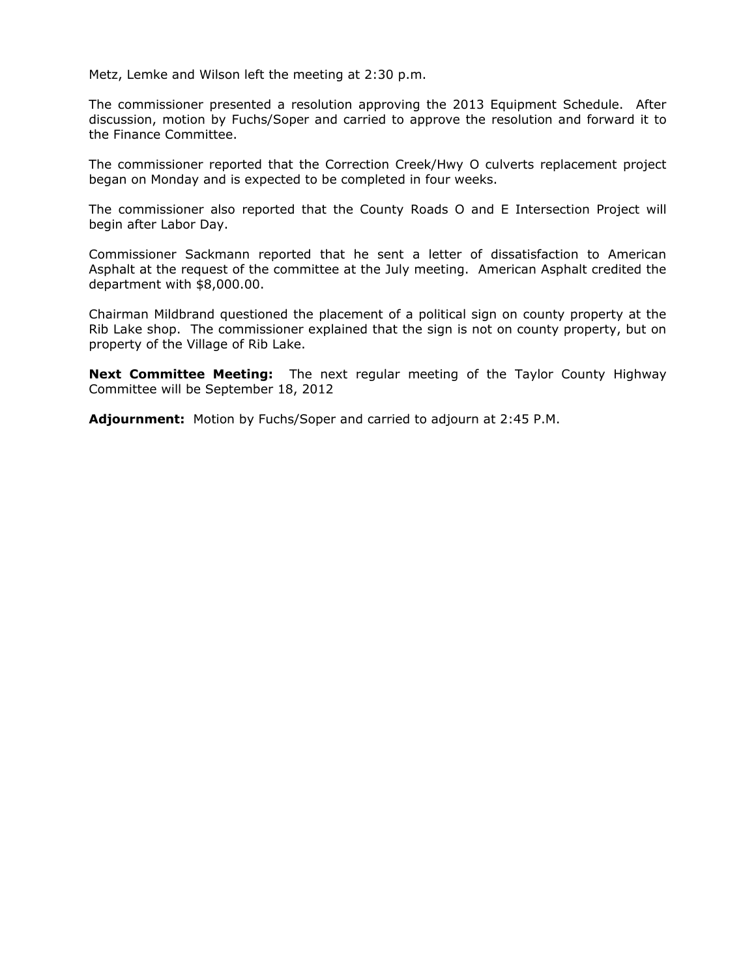Metz, Lemke and Wilson left the meeting at 2:30 p.m.

The commissioner presented a resolution approving the 2013 Equipment Schedule. After discussion, motion by Fuchs/Soper and carried to approve the resolution and forward it to the Finance Committee.

The commissioner reported that the Correction Creek/Hwy O culverts replacement project began on Monday and is expected to be completed in four weeks.

The commissioner also reported that the County Roads O and E Intersection Project will begin after Labor Day.

Commissioner Sackmann reported that he sent a letter of dissatisfaction to American Asphalt at the request of the committee at the July meeting. American Asphalt credited the department with \$8,000.00.

Chairman Mildbrand questioned the placement of a political sign on county property at the Rib Lake shop. The commissioner explained that the sign is not on county property, but on property of the Village of Rib Lake.

**Next Committee Meeting:** The next regular meeting of the Taylor County Highway Committee will be September 18, 2012

**Adjournment:** Motion by Fuchs/Soper and carried to adjourn at 2:45 P.M.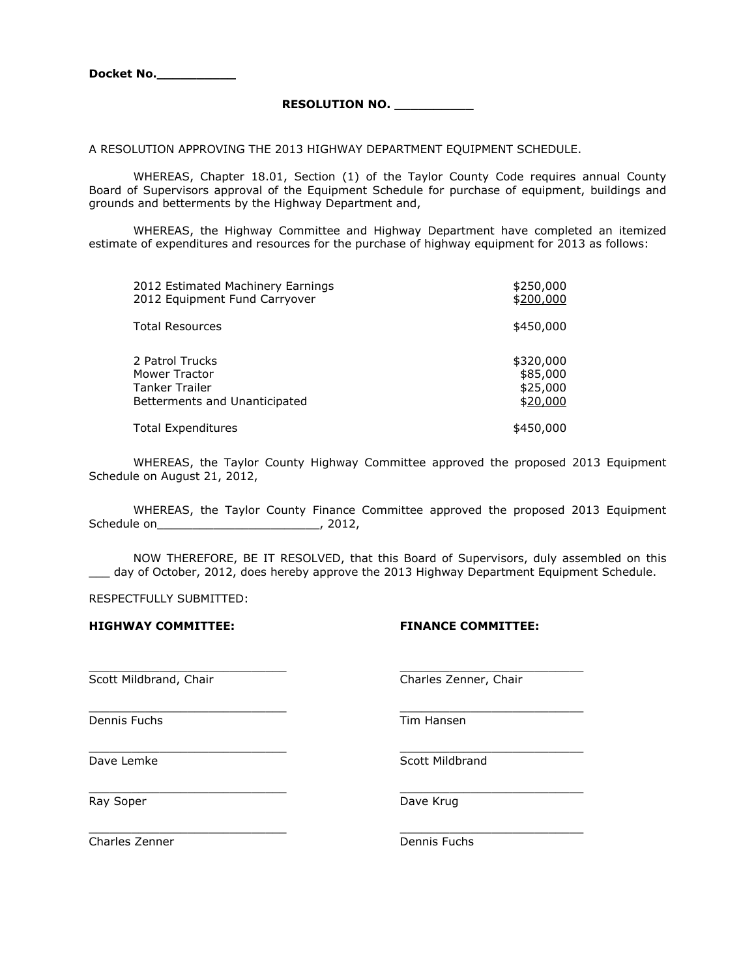**Docket No.\_\_\_\_\_\_\_\_\_\_**

#### **RESOLUTION NO. \_\_\_\_\_\_\_\_\_\_**

A RESOLUTION APPROVING THE 2013 HIGHWAY DEPARTMENT EQUIPMENT SCHEDULE.

WHEREAS, Chapter 18.01, Section (1) of the Taylor County Code requires annual County Board of Supervisors approval of the Equipment Schedule for purchase of equipment, buildings and grounds and betterments by the Highway Department and,

WHEREAS, the Highway Committee and Highway Department have completed an itemized estimate of expenditures and resources for the purchase of highway equipment for 2013 as follows:

| 2012 Estimated Machinery Earnings | \$250,000 |
|-----------------------------------|-----------|
| 2012 Equipment Fund Carryover     | \$200,000 |
| Total Resources                   | \$450,000 |
| 2 Patrol Trucks                   | \$320,000 |
| Mower Tractor                     | \$85,000  |
| Tanker Trailer                    | \$25,000  |
| Betterments and Unanticipated     | \$20,000  |
| <b>Total Expenditures</b>         | \$450,000 |

WHEREAS, the Taylor County Highway Committee approved the proposed 2013 Equipment Schedule on August 21, 2012,

WHEREAS, the Taylor County Finance Committee approved the proposed 2013 Equipment Schedule on\_\_\_\_\_\_\_\_\_\_\_\_\_\_\_\_\_\_\_\_\_\_\_\_\_\_\_\_\_\_\_\_\_\_, 2012,

NOW THEREFORE, BE IT RESOLVED, that this Board of Supervisors, duly assembled on this \_\_\_ day of October, 2012, does hereby approve the 2013 Highway Department Equipment Schedule.

\_\_\_\_\_\_\_\_\_\_\_\_\_\_\_\_\_\_\_\_\_\_\_\_\_\_\_\_ \_\_\_\_\_\_\_\_\_\_\_\_\_\_\_\_\_\_\_\_\_\_\_\_\_\_

 $\frac{1}{2}$  ,  $\frac{1}{2}$  ,  $\frac{1}{2}$  ,  $\frac{1}{2}$  ,  $\frac{1}{2}$  ,  $\frac{1}{2}$  ,  $\frac{1}{2}$  ,  $\frac{1}{2}$  ,  $\frac{1}{2}$  ,  $\frac{1}{2}$  ,  $\frac{1}{2}$  ,  $\frac{1}{2}$  ,  $\frac{1}{2}$  ,  $\frac{1}{2}$  ,  $\frac{1}{2}$  ,  $\frac{1}{2}$  ,  $\frac{1}{2}$  ,  $\frac{1}{2}$  ,  $\frac{1$ 

RESPECTFULLY SUBMITTED:

**HIGHWAY COMMITTEE: FINANCE COMMITTEE:**

Dennis Fuchs Tim Hansen

\_\_\_\_\_\_\_\_\_\_\_\_\_\_\_\_\_\_\_\_\_\_\_\_\_\_\_\_ \_\_\_\_\_\_\_\_\_\_\_\_\_\_\_\_\_\_\_\_\_\_\_\_\_\_

 $\frac{1}{2}$  ,  $\frac{1}{2}$  ,  $\frac{1}{2}$  ,  $\frac{1}{2}$  ,  $\frac{1}{2}$  ,  $\frac{1}{2}$  ,  $\frac{1}{2}$  ,  $\frac{1}{2}$  ,  $\frac{1}{2}$  ,  $\frac{1}{2}$  ,  $\frac{1}{2}$  ,  $\frac{1}{2}$  ,  $\frac{1}{2}$  ,  $\frac{1}{2}$  ,  $\frac{1}{2}$  ,  $\frac{1}{2}$  ,  $\frac{1}{2}$  ,  $\frac{1}{2}$  ,  $\frac{1$ 

\_\_\_\_\_\_\_\_\_\_\_\_\_\_\_\_\_\_\_\_\_\_\_\_\_\_\_\_ \_\_\_\_\_\_\_\_\_\_\_\_\_\_\_\_\_\_\_\_\_\_\_\_\_\_

Scott Mildbrand, Chair Charles Zenner, Chair

Dave Lemke Scott Mildbrand

Ray Soper **Dave Krug** Dave Krug

**Charles Zenner** Dennis Fuchs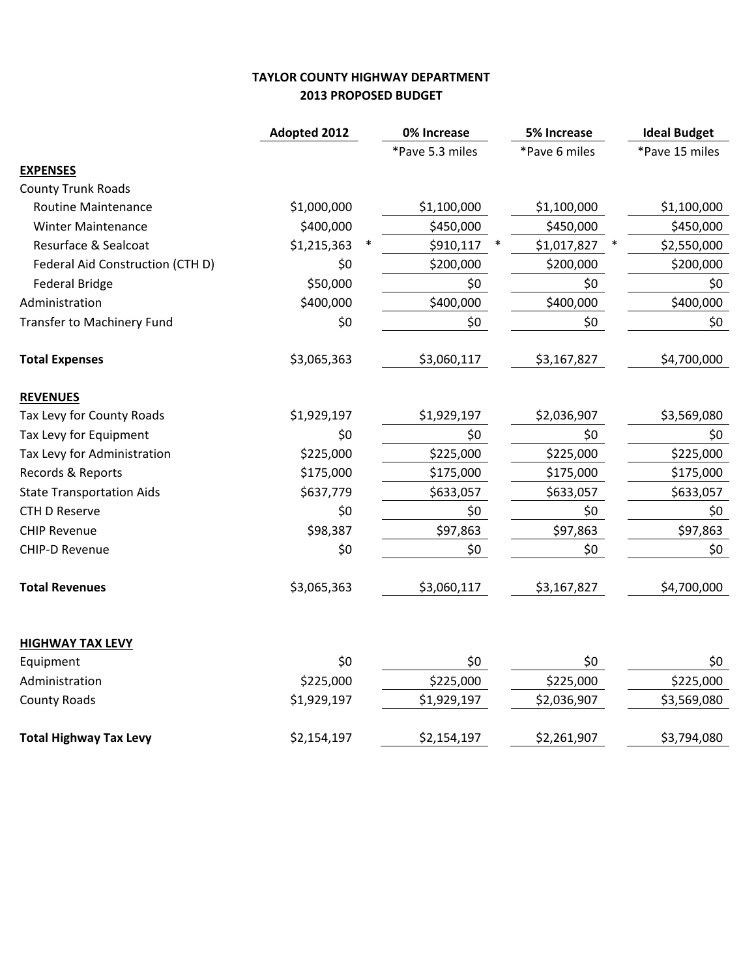## **TAYLOR COUNTY HIGHWAY DEPARTMENT 2013 PROPOSED BUDGET**

|                                  | <b>Adopted 2012</b> | 0% Increase     | <b>5% Increase</b> | <b>Ideal Budget</b> |
|----------------------------------|---------------------|-----------------|--------------------|---------------------|
|                                  |                     | *Pave 5.3 miles | *Pave 6 miles      | *Pave 15 miles      |
| <b>EXPENSES</b>                  |                     |                 |                    |                     |
| <b>County Trunk Roads</b>        |                     |                 |                    |                     |
| <b>Routine Maintenance</b>       | \$1,000,000         | \$1,100,000     | \$1,100,000        | \$1,100,000         |
| <b>Winter Maintenance</b>        | \$400,000           | \$450,000       | \$450,000          | \$450,000           |
| Resurface & Sealcoat             | \$1,215,363         | \$910,117       | \$1,017,827        | \$2,550,000         |
| Federal Aid Construction (CTH D) | \$0                 | \$200,000       | \$200,000          | \$200,000           |
| <b>Federal Bridge</b>            | \$50,000            | \$0             | \$0                | \$0                 |
| Administration                   | \$400,000           | \$400,000       | \$400,000          | \$400,000           |
| Transfer to Machinery Fund       | \$0                 | \$0             | \$0                | \$0                 |
| <b>Total Expenses</b>            | \$3,065,363         | \$3,060,117     | \$3,167,827        | \$4,700,000         |
| <b>REVENUES</b>                  |                     |                 |                    |                     |
| Tax Levy for County Roads        | \$1,929,197         | \$1,929,197     | \$2,036,907        | \$3,569,080         |
| Tax Levy for Equipment           | \$0                 | \$0             | \$0                | \$0                 |
| Tax Levy for Administration      | \$225,000           | \$225,000       | \$225,000          | \$225,000           |
| Records & Reports                | \$175,000           | \$175,000       | \$175,000          | \$175,000           |
| <b>State Transportation Aids</b> | \$637,779           | \$633,057       | \$633,057          | \$633,057           |
| <b>CTH D Reserve</b>             | \$0                 | \$0             | \$0                | \$0                 |
| <b>CHIP Revenue</b>              | \$98,387            | \$97,863        | \$97,863           | \$97,863            |
| <b>CHIP-D Revenue</b>            | \$0                 | \$0             | \$0                | \$0                 |
| <b>Total Revenues</b>            | \$3,065,363         | \$3,060,117     | \$3,167,827        | \$4,700,000         |
| <b>HIGHWAY TAX LEVY</b>          |                     |                 |                    |                     |
| Equipment                        | \$0                 | \$0             | \$0                | \$0                 |
| Administration                   | \$225,000           | \$225,000       | \$225,000          | \$225,000           |
| <b>County Roads</b>              | \$1,929,197         | \$1,929,197     | \$2,036,907        | \$3,569,080         |
| <b>Total Highway Tax Levy</b>    | \$2,154,197         | \$2,154,197     | \$2,261,907        | \$3,794,080         |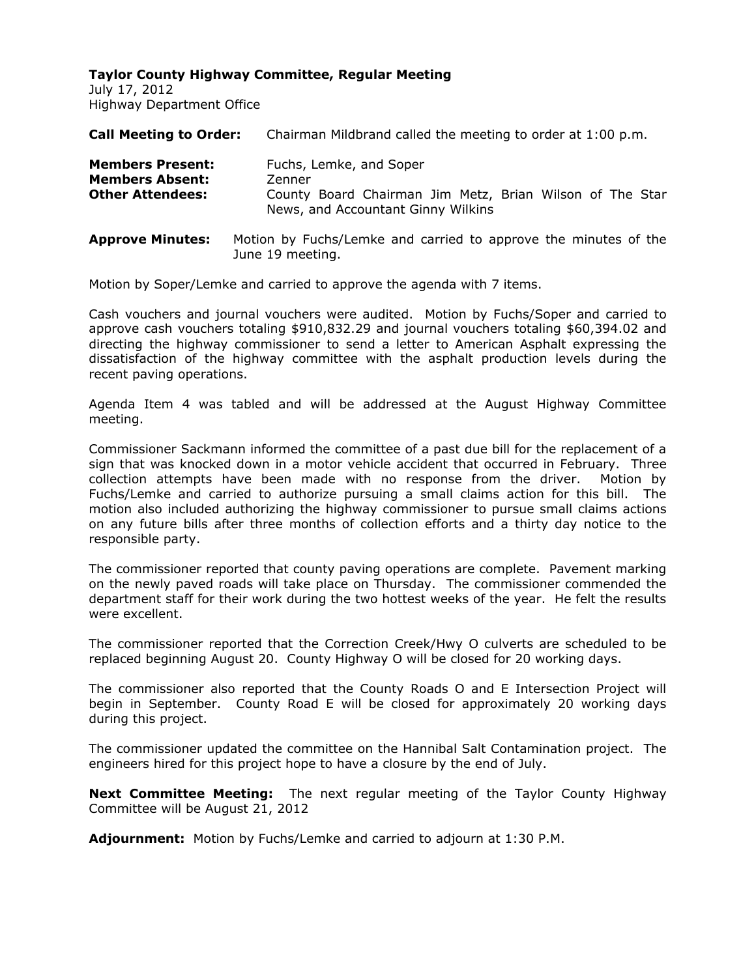July 17, 2012 Highway Department Office

| <b>Call Meeting to Order:</b>                                                | Chairman Mildbrand called the meeting to order at 1:00 p.m.                                                                         |
|------------------------------------------------------------------------------|-------------------------------------------------------------------------------------------------------------------------------------|
| <b>Members Present:</b><br><b>Members Absent:</b><br><b>Other Attendees:</b> | Fuchs, Lemke, and Soper<br>Zenner<br>County Board Chairman Jim Metz, Brian Wilson of The Star<br>News, and Accountant Ginny Wilkins |
| <b>Approve Minutes:</b>                                                      | Motion by Fuchs/Lemke and carried to approve the minutes of the                                                                     |

June 19 meeting.

Motion by Soper/Lemke and carried to approve the agenda with 7 items.

Cash vouchers and journal vouchers were audited. Motion by Fuchs/Soper and carried to approve cash vouchers totaling \$910,832.29 and journal vouchers totaling \$60,394.02 and directing the highway commissioner to send a letter to American Asphalt expressing the dissatisfaction of the highway committee with the asphalt production levels during the recent paving operations.

Agenda Item 4 was tabled and will be addressed at the August Highway Committee meeting.

Commissioner Sackmann informed the committee of a past due bill for the replacement of a sign that was knocked down in a motor vehicle accident that occurred in February. Three collection attempts have been made with no response from the driver. Motion by Fuchs/Lemke and carried to authorize pursuing a small claims action for this bill. The motion also included authorizing the highway commissioner to pursue small claims actions on any future bills after three months of collection efforts and a thirty day notice to the responsible party.

The commissioner reported that county paving operations are complete. Pavement marking on the newly paved roads will take place on Thursday. The commissioner commended the department staff for their work during the two hottest weeks of the year. He felt the results were excellent.

The commissioner reported that the Correction Creek/Hwy O culverts are scheduled to be replaced beginning August 20. County Highway O will be closed for 20 working days.

The commissioner also reported that the County Roads O and E Intersection Project will begin in September. County Road E will be closed for approximately 20 working days during this project.

The commissioner updated the committee on the Hannibal Salt Contamination project. The engineers hired for this project hope to have a closure by the end of July.

**Next Committee Meeting:** The next regular meeting of the Taylor County Highway Committee will be August 21, 2012

**Adjournment:** Motion by Fuchs/Lemke and carried to adjourn at 1:30 P.M.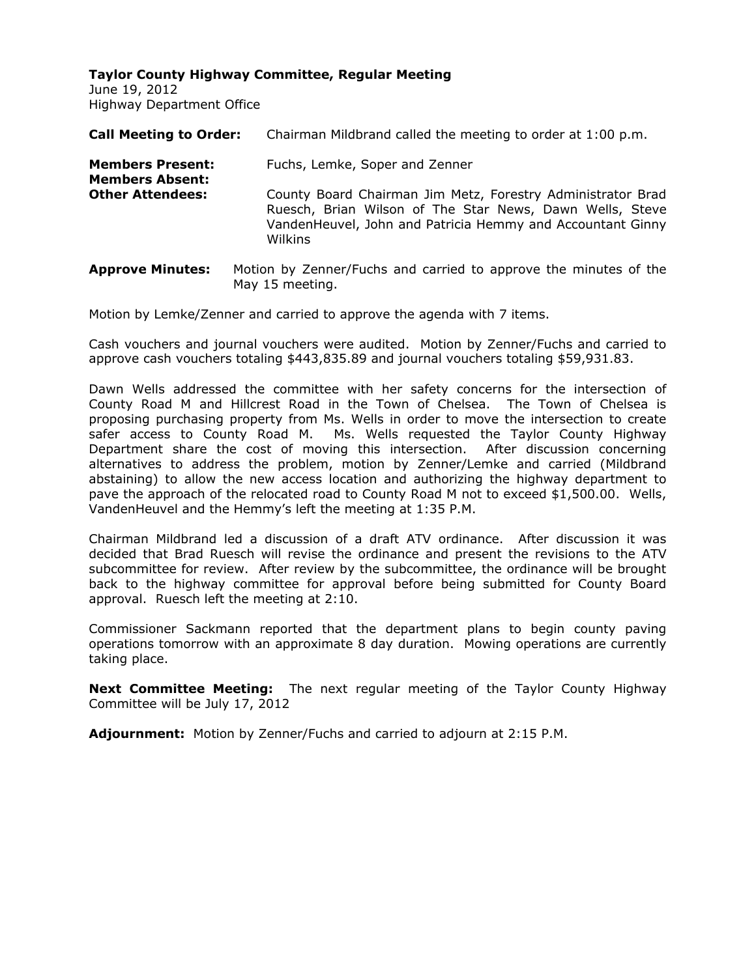June 19, 2012 Highway Department Office

| <b>Call Meeting to Order:</b>                     | Chairman Mildbrand called the meeting to order at 1:00 p.m.                                                                                                                                      |
|---------------------------------------------------|--------------------------------------------------------------------------------------------------------------------------------------------------------------------------------------------------|
| <b>Members Present:</b><br><b>Members Absent:</b> | Fuchs, Lemke, Soper and Zenner                                                                                                                                                                   |
| <b>Other Attendees:</b>                           | County Board Chairman Jim Metz, Forestry Administrator Brad<br>Ruesch, Brian Wilson of The Star News, Dawn Wells, Steve<br>VandenHeuvel, John and Patricia Hemmy and Accountant Ginny<br>Wilkins |
| <b>Annrove Minutes:</b>                           | Motion by Zenner/Fuchs and carried to annrove the minutes of the                                                                                                                                 |

**Approve Minutes:** Motion by Zenner/Fuchs and carried to approve the minutes of the May 15 meeting.

Motion by Lemke/Zenner and carried to approve the agenda with 7 items.

Cash vouchers and journal vouchers were audited. Motion by Zenner/Fuchs and carried to approve cash vouchers totaling \$443,835.89 and journal vouchers totaling \$59,931.83.

Dawn Wells addressed the committee with her safety concerns for the intersection of County Road M and Hillcrest Road in the Town of Chelsea. The Town of Chelsea is proposing purchasing property from Ms. Wells in order to move the intersection to create safer access to County Road M. Ms. Wells requested the Taylor County Highway Department share the cost of moving this intersection. After discussion concerning alternatives to address the problem, motion by Zenner/Lemke and carried (Mildbrand abstaining) to allow the new access location and authorizing the highway department to pave the approach of the relocated road to County Road M not to exceed \$1,500.00. Wells, VandenHeuvel and the Hemmy's left the meeting at 1:35 P.M.

Chairman Mildbrand led a discussion of a draft ATV ordinance. After discussion it was decided that Brad Ruesch will revise the ordinance and present the revisions to the ATV subcommittee for review. After review by the subcommittee, the ordinance will be brought back to the highway committee for approval before being submitted for County Board approval. Ruesch left the meeting at 2:10.

Commissioner Sackmann reported that the department plans to begin county paving operations tomorrow with an approximate 8 day duration. Mowing operations are currently taking place.

**Next Committee Meeting:** The next regular meeting of the Taylor County Highway Committee will be July 17, 2012

**Adjournment:** Motion by Zenner/Fuchs and carried to adjourn at 2:15 P.M.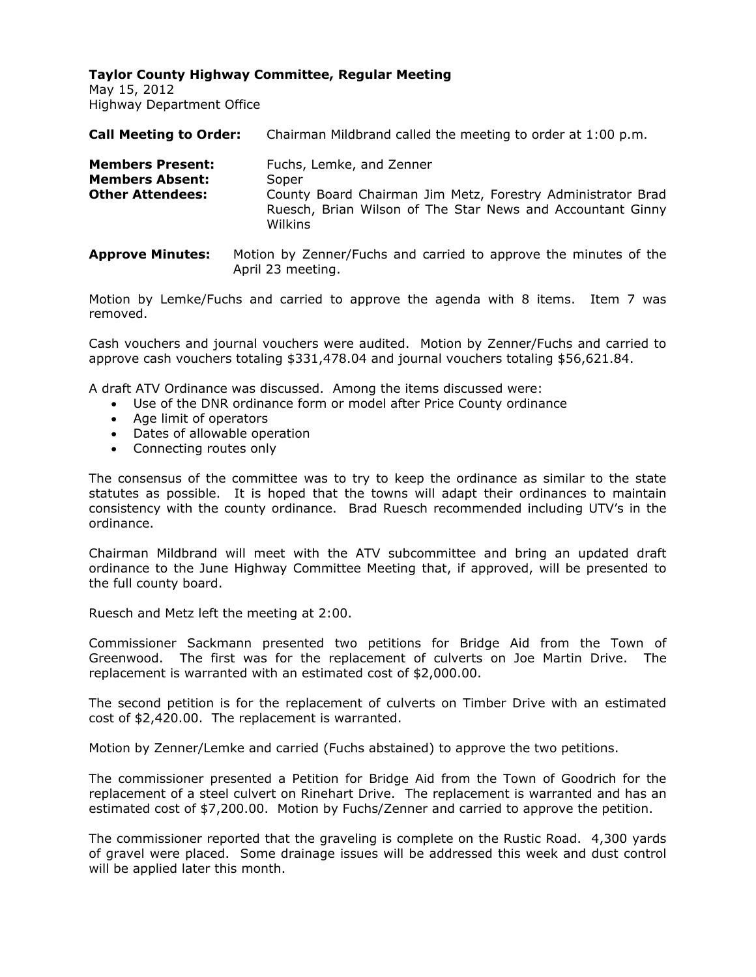May 15, 2012 Highway Department Office

| <b>Call Meeting to Order:</b>                                                | Chairman Mildbrand called the meeting to order at 1:00 p.m.                                                                                                               |
|------------------------------------------------------------------------------|---------------------------------------------------------------------------------------------------------------------------------------------------------------------------|
| <b>Members Present:</b><br><b>Members Absent:</b><br><b>Other Attendees:</b> | Fuchs, Lemke, and Zenner<br>Soper<br>County Board Chairman Jim Metz, Forestry Administrator Brad<br>Ruesch, Brian Wilson of The Star News and Accountant Ginny<br>Wilkins |

**Approve Minutes:** Motion by Zenner/Fuchs and carried to approve the minutes of the April 23 meeting.

Motion by Lemke/Fuchs and carried to approve the agenda with 8 items. Item 7 was removed.

Cash vouchers and journal vouchers were audited. Motion by Zenner/Fuchs and carried to approve cash vouchers totaling \$331,478.04 and journal vouchers totaling \$56,621.84.

A draft ATV Ordinance was discussed. Among the items discussed were:

- Use of the DNR ordinance form or model after Price County ordinance
- Age limit of operators
- Dates of allowable operation
- Connecting routes only

The consensus of the committee was to try to keep the ordinance as similar to the state statutes as possible. It is hoped that the towns will adapt their ordinances to maintain consistency with the county ordinance. Brad Ruesch recommended including UTV's in the ordinance.

Chairman Mildbrand will meet with the ATV subcommittee and bring an updated draft ordinance to the June Highway Committee Meeting that, if approved, will be presented to the full county board.

Ruesch and Metz left the meeting at 2:00.

Commissioner Sackmann presented two petitions for Bridge Aid from the Town of Greenwood. The first was for the replacement of culverts on Joe Martin Drive. The replacement is warranted with an estimated cost of \$2,000.00.

The second petition is for the replacement of culverts on Timber Drive with an estimated cost of \$2,420.00. The replacement is warranted.

Motion by Zenner/Lemke and carried (Fuchs abstained) to approve the two petitions.

The commissioner presented a Petition for Bridge Aid from the Town of Goodrich for the replacement of a steel culvert on Rinehart Drive. The replacement is warranted and has an estimated cost of \$7,200.00. Motion by Fuchs/Zenner and carried to approve the petition.

The commissioner reported that the graveling is complete on the Rustic Road. 4,300 yards of gravel were placed. Some drainage issues will be addressed this week and dust control will be applied later this month.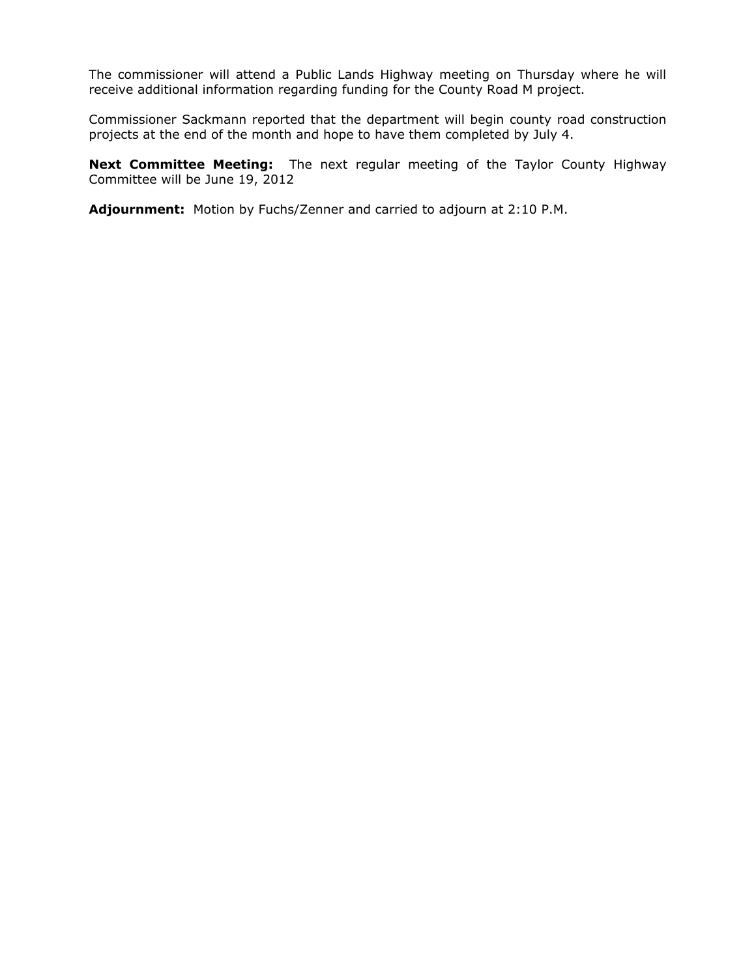The commissioner will attend a Public Lands Highway meeting on Thursday where he will receive additional information regarding funding for the County Road M project.

Commissioner Sackmann reported that the department will begin county road construction projects at the end of the month and hope to have them completed by July 4.

**Next Committee Meeting:** The next regular meeting of the Taylor County Highway Committee will be June 19, 2012

**Adjournment:** Motion by Fuchs/Zenner and carried to adjourn at 2:10 P.M.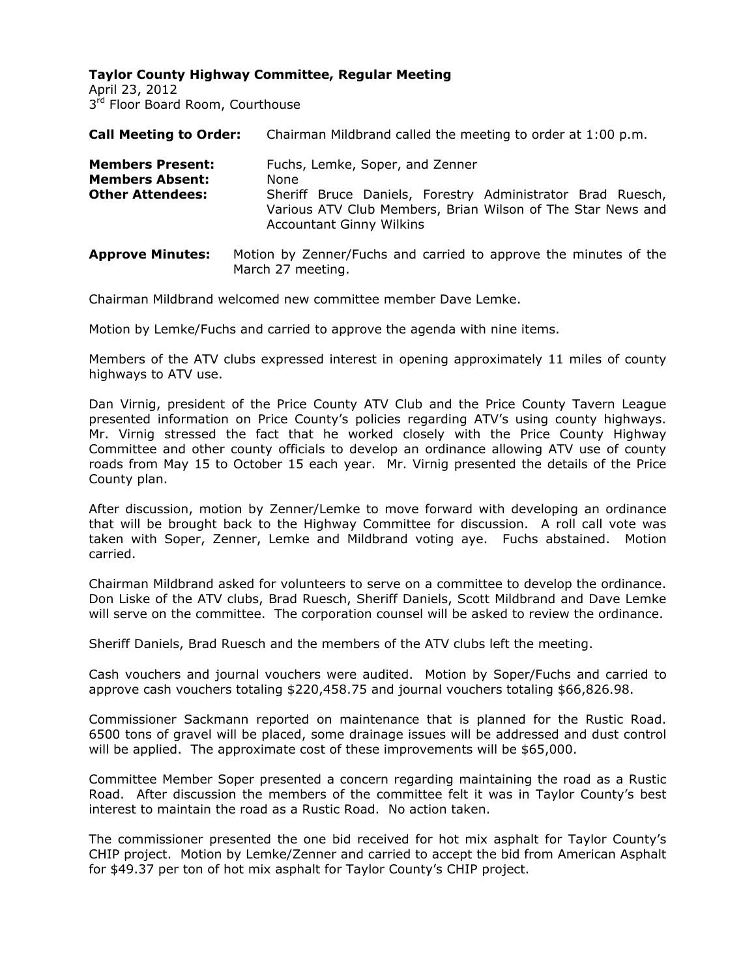April 23, 2012 3<sup>rd</sup> Floor Board Room, Courthouse

| <b>Call Meeting to Order:</b>                                                | Chairman Mildbrand called the meeting to order at 1:00 p.m.                                                                                                                                             |
|------------------------------------------------------------------------------|---------------------------------------------------------------------------------------------------------------------------------------------------------------------------------------------------------|
| <b>Members Present:</b><br><b>Members Absent:</b><br><b>Other Attendees:</b> | Fuchs, Lemke, Soper, and Zenner<br>None<br>Sheriff Bruce Daniels, Forestry Administrator Brad Ruesch,<br>Various ATV Club Members, Brian Wilson of The Star News and<br><b>Accountant Ginny Wilkins</b> |
| <b>Approve Minutes:</b>                                                      | Motion by Zenner/Fuchs and carried to approve the minutes of the                                                                                                                                        |

March 27 meeting.

Chairman Mildbrand welcomed new committee member Dave Lemke.

Motion by Lemke/Fuchs and carried to approve the agenda with nine items.

Members of the ATV clubs expressed interest in opening approximately 11 miles of county highways to ATV use.

Dan Virnig, president of the Price County ATV Club and the Price County Tavern League presented information on Price County's policies regarding ATV's using county highways. Mr. Virnig stressed the fact that he worked closely with the Price County Highway Committee and other county officials to develop an ordinance allowing ATV use of county roads from May 15 to October 15 each year. Mr. Virnig presented the details of the Price County plan.

After discussion, motion by Zenner/Lemke to move forward with developing an ordinance that will be brought back to the Highway Committee for discussion. A roll call vote was taken with Soper, Zenner, Lemke and Mildbrand voting aye. Fuchs abstained. Motion carried.

Chairman Mildbrand asked for volunteers to serve on a committee to develop the ordinance. Don Liske of the ATV clubs, Brad Ruesch, Sheriff Daniels, Scott Mildbrand and Dave Lemke will serve on the committee. The corporation counsel will be asked to review the ordinance.

Sheriff Daniels, Brad Ruesch and the members of the ATV clubs left the meeting.

Cash vouchers and journal vouchers were audited. Motion by Soper/Fuchs and carried to approve cash vouchers totaling \$220,458.75 and journal vouchers totaling \$66,826.98.

Commissioner Sackmann reported on maintenance that is planned for the Rustic Road. 6500 tons of gravel will be placed, some drainage issues will be addressed and dust control will be applied. The approximate cost of these improvements will be \$65,000.

Committee Member Soper presented a concern regarding maintaining the road as a Rustic Road. After discussion the members of the committee felt it was in Taylor County's best interest to maintain the road as a Rustic Road. No action taken.

The commissioner presented the one bid received for hot mix asphalt for Taylor County's CHIP project. Motion by Lemke/Zenner and carried to accept the bid from American Asphalt for \$49.37 per ton of hot mix asphalt for Taylor County's CHIP project.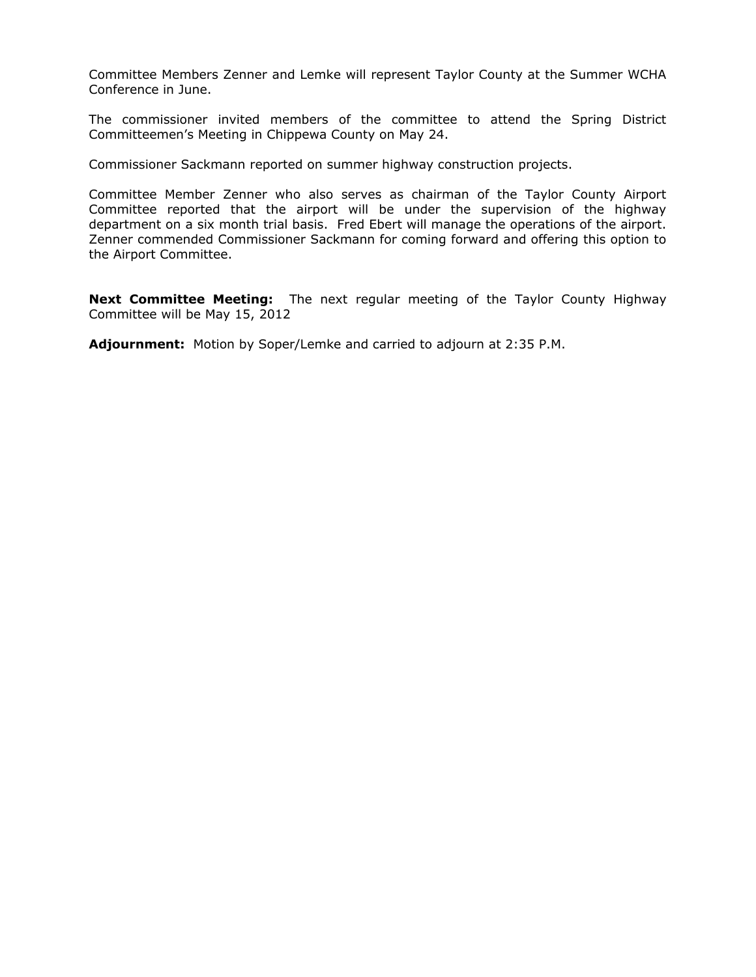Committee Members Zenner and Lemke will represent Taylor County at the Summer WCHA Conference in June.

The commissioner invited members of the committee to attend the Spring District Committeemen's Meeting in Chippewa County on May 24.

Commissioner Sackmann reported on summer highway construction projects.

Committee Member Zenner who also serves as chairman of the Taylor County Airport Committee reported that the airport will be under the supervision of the highway department on a six month trial basis. Fred Ebert will manage the operations of the airport. Zenner commended Commissioner Sackmann for coming forward and offering this option to the Airport Committee.

**Next Committee Meeting:** The next regular meeting of the Taylor County Highway Committee will be May 15, 2012

**Adjournment:** Motion by Soper/Lemke and carried to adjourn at 2:35 P.M.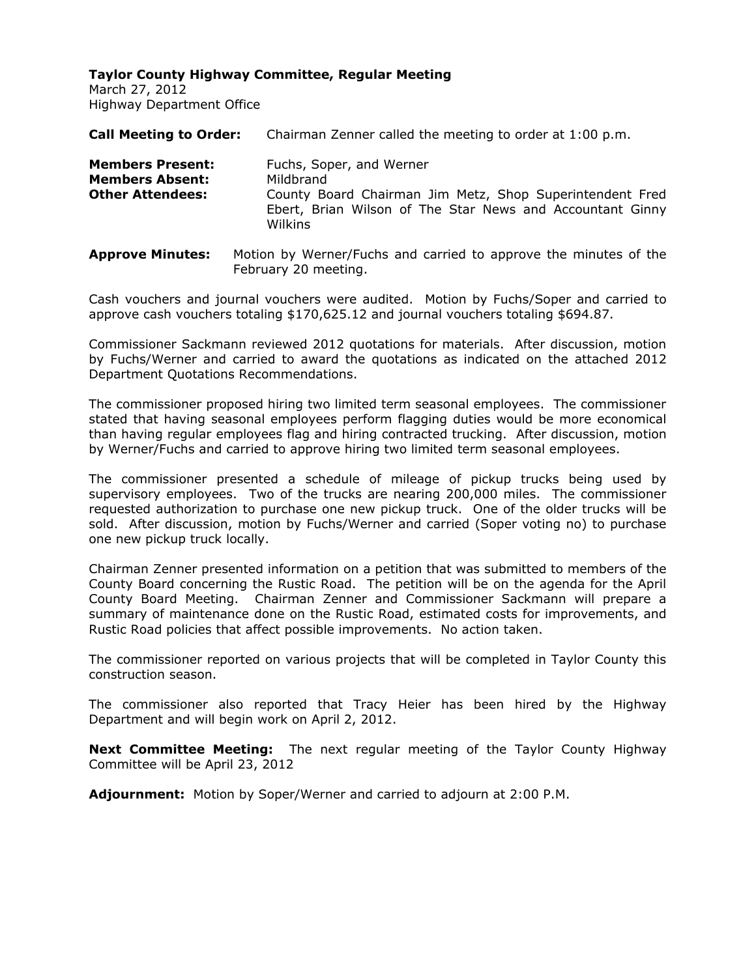March 27, 2012 Highway Department Office

| <b>Call Meeting to Order:</b>                                                | Chairman Zenner called the meeting to order at 1:00 p.m.                                                                                                                  |
|------------------------------------------------------------------------------|---------------------------------------------------------------------------------------------------------------------------------------------------------------------------|
| <b>Members Present:</b><br><b>Members Absent:</b><br><b>Other Attendees:</b> | Fuchs, Soper, and Werner<br>Mildbrand<br>County Board Chairman Jim Metz, Shop Superintendent Fred<br>Ebert, Brian Wilson of The Star News and Accountant Ginny<br>Wilkins |
|                                                                              |                                                                                                                                                                           |

**Approve Minutes:** Motion by Werner/Fuchs and carried to approve the minutes of the February 20 meeting.

Cash vouchers and journal vouchers were audited. Motion by Fuchs/Soper and carried to approve cash vouchers totaling \$170,625.12 and journal vouchers totaling \$694.87.

Commissioner Sackmann reviewed 2012 quotations for materials. After discussion, motion by Fuchs/Werner and carried to award the quotations as indicated on the attached 2012 Department Quotations Recommendations.

The commissioner proposed hiring two limited term seasonal employees. The commissioner stated that having seasonal employees perform flagging duties would be more economical than having regular employees flag and hiring contracted trucking. After discussion, motion by Werner/Fuchs and carried to approve hiring two limited term seasonal employees.

The commissioner presented a schedule of mileage of pickup trucks being used by supervisory employees. Two of the trucks are nearing 200,000 miles. The commissioner requested authorization to purchase one new pickup truck. One of the older trucks will be sold. After discussion, motion by Fuchs/Werner and carried (Soper voting no) to purchase one new pickup truck locally.

Chairman Zenner presented information on a petition that was submitted to members of the County Board concerning the Rustic Road. The petition will be on the agenda for the April County Board Meeting. Chairman Zenner and Commissioner Sackmann will prepare a summary of maintenance done on the Rustic Road, estimated costs for improvements, and Rustic Road policies that affect possible improvements. No action taken.

The commissioner reported on various projects that will be completed in Taylor County this construction season.

The commissioner also reported that Tracy Heier has been hired by the Highway Department and will begin work on April 2, 2012.

**Next Committee Meeting:** The next regular meeting of the Taylor County Highway Committee will be April 23, 2012

**Adjournment:** Motion by Soper/Werner and carried to adjourn at 2:00 P.M.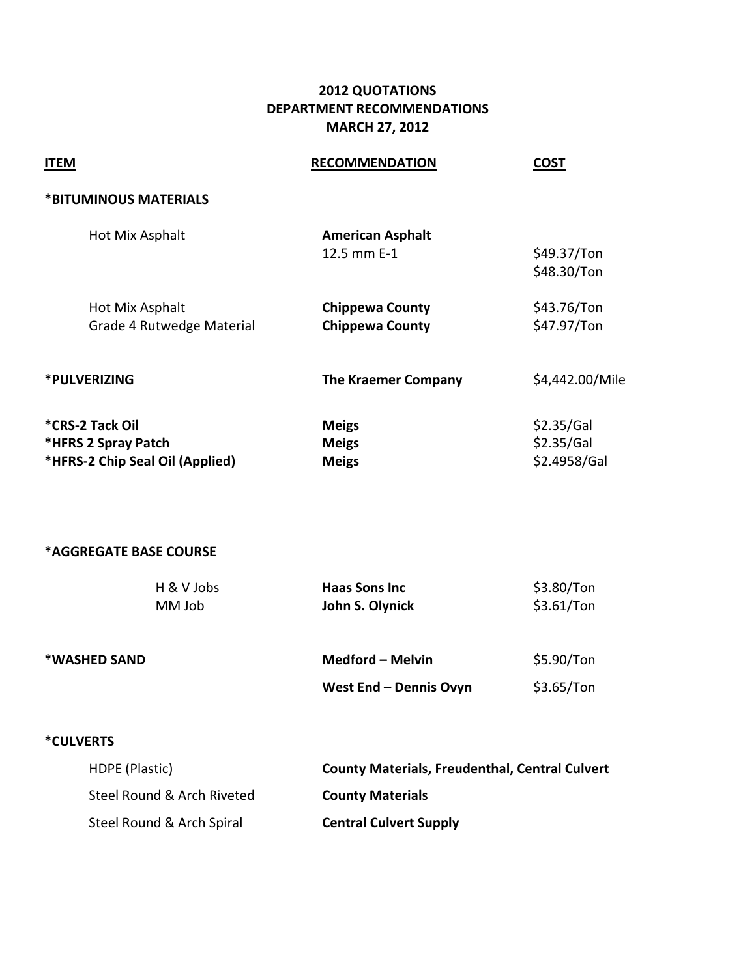# **2012 QUOTATIONS DEPARTMENT RECOMMENDATIONS MARCH 27, 2012**

| <b>ITEM</b>                                                               | <b>RECOMMENDATION</b>                                 | <b>COST</b>                              |
|---------------------------------------------------------------------------|-------------------------------------------------------|------------------------------------------|
| *BITUMINOUS MATERIALS                                                     |                                                       |                                          |
| Hot Mix Asphalt                                                           | <b>American Asphalt</b><br>12.5 mm E-1                | \$49.37/Ton<br>\$48.30/Ton               |
| Hot Mix Asphalt<br>Grade 4 Rutwedge Material                              | <b>Chippewa County</b><br><b>Chippewa County</b>      | \$43.76/Ton<br>\$47.97/Ton               |
| *PULVERIZING                                                              | <b>The Kraemer Company</b>                            | \$4,442.00/Mile                          |
| *CRS-2 Tack Oil<br>*HFRS 2 Spray Patch<br>*HFRS-2 Chip Seal Oil (Applied) | <b>Meigs</b><br><b>Meigs</b><br><b>Meigs</b>          | \$2.35/Gal<br>\$2.35/Gal<br>\$2.4958/Gal |
| *AGGREGATE BASE COURSE                                                    |                                                       |                                          |
| H & V Jobs<br>MM Job                                                      | <b>Haas Sons Inc</b><br>John S. Olynick               | \$3.80/Ton<br>\$3.61/Ton                 |
| *WASHED SAND                                                              | Medford - Melvin                                      | \$5.90/Ton                               |
|                                                                           | West End - Dennis Ovyn                                | \$3.65/Ton                               |
| <b>*CULVERTS</b>                                                          |                                                       |                                          |
| HDPE (Plastic)                                                            | <b>County Materials, Freudenthal, Central Culvert</b> |                                          |
| Steel Round & Arch Riveted                                                | <b>County Materials</b>                               |                                          |

Steel Round & Arch Spiral **Central Culvert Supply**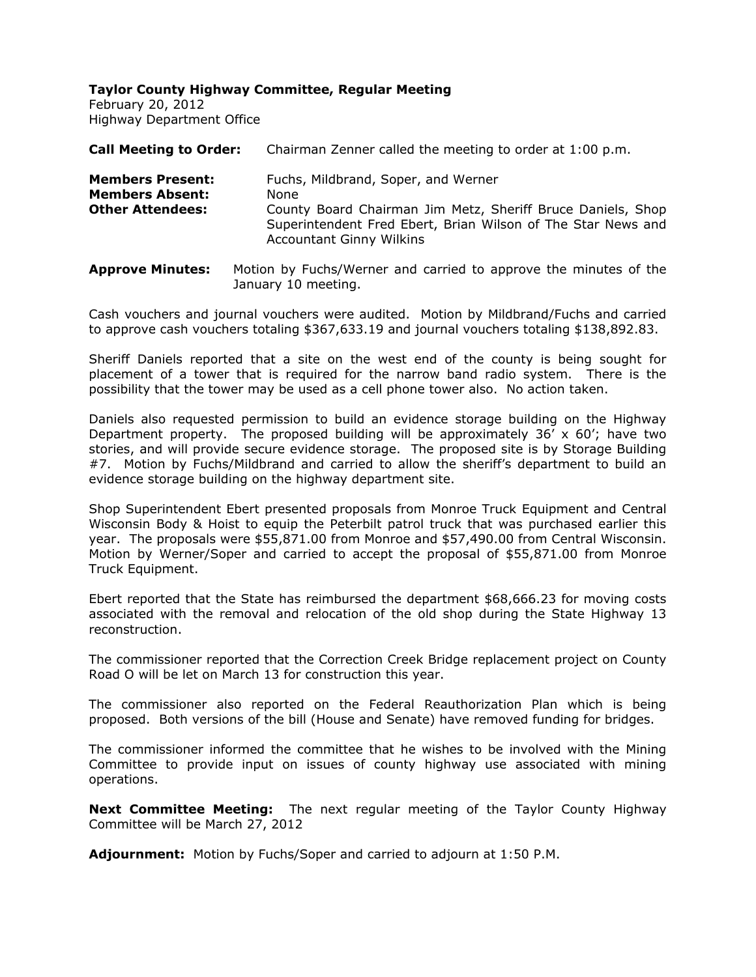**Taylor County Highway Committee, Regular Meeting** February 20, 2012 Highway Department Office

| <b>Call Meeting to Order:</b>                                                | Chairman Zenner called the meeting to order at 1:00 p.m.                                                                                                                                                      |
|------------------------------------------------------------------------------|---------------------------------------------------------------------------------------------------------------------------------------------------------------------------------------------------------------|
| <b>Members Present:</b><br><b>Members Absent:</b><br><b>Other Attendees:</b> | Fuchs, Mildbrand, Soper, and Werner<br>None<br>County Board Chairman Jim Metz, Sheriff Bruce Daniels, Shop<br>Superintendent Fred Ebert, Brian Wilson of The Star News and<br><b>Accountant Ginny Wilkins</b> |

**Approve Minutes:** Motion by Fuchs/Werner and carried to approve the minutes of the January 10 meeting.

Cash vouchers and journal vouchers were audited. Motion by Mildbrand/Fuchs and carried to approve cash vouchers totaling \$367,633.19 and journal vouchers totaling \$138,892.83.

Sheriff Daniels reported that a site on the west end of the county is being sought for placement of a tower that is required for the narrow band radio system. There is the possibility that the tower may be used as a cell phone tower also. No action taken.

Daniels also requested permission to build an evidence storage building on the Highway Department property. The proposed building will be approximately  $36' \times 60'$ ; have two stories, and will provide secure evidence storage. The proposed site is by Storage Building #7. Motion by Fuchs/Mildbrand and carried to allow the sheriff's department to build an evidence storage building on the highway department site.

Shop Superintendent Ebert presented proposals from Monroe Truck Equipment and Central Wisconsin Body & Hoist to equip the Peterbilt patrol truck that was purchased earlier this year. The proposals were \$55,871.00 from Monroe and \$57,490.00 from Central Wisconsin. Motion by Werner/Soper and carried to accept the proposal of \$55,871.00 from Monroe Truck Equipment.

Ebert reported that the State has reimbursed the department \$68,666.23 for moving costs associated with the removal and relocation of the old shop during the State Highway 13 reconstruction.

The commissioner reported that the Correction Creek Bridge replacement project on County Road O will be let on March 13 for construction this year.

The commissioner also reported on the Federal Reauthorization Plan which is being proposed. Both versions of the bill (House and Senate) have removed funding for bridges.

The commissioner informed the committee that he wishes to be involved with the Mining Committee to provide input on issues of county highway use associated with mining operations.

**Next Committee Meeting:** The next regular meeting of the Taylor County Highway Committee will be March 27, 2012

**Adjournment:** Motion by Fuchs/Soper and carried to adjourn at 1:50 P.M.